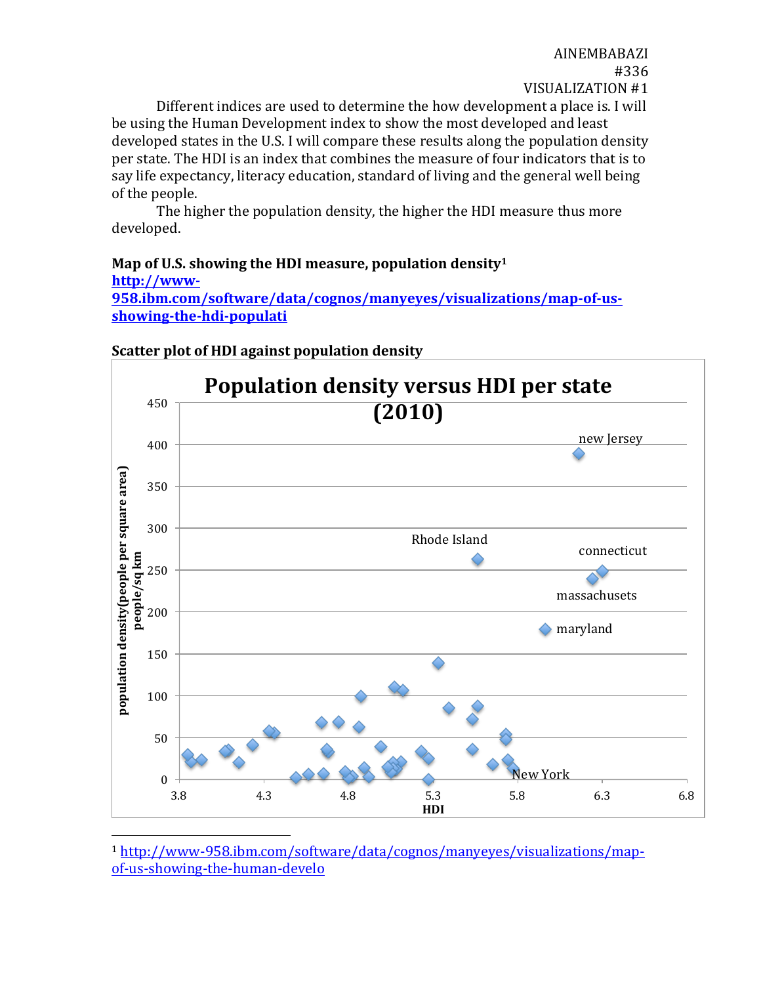AINEMBABAZI #336 VISUALIZATION #1

Different indices are used to determine the how development a place is. I will be using the Human Development index to show the most developed and least developed states in the U.S. I will compare these results along the population density per state. The HDI is an index that combines the measure of four indicators that is to say life expectancy, literacy education, standard of living and the general well being of the people.

The higher the population density, the higher the HDI measure thus more developed. 

#### Map of U.S. showing the HDI measure, population density<sup>1</sup> **http://www-**

**958.ibm.com/software/data/cognos/manyeyes/visualizations/map-of-usshowing-the-hdi-populati**



#### **Scatter plot of HDI against population density**

 

<sup>1</sup> http://www-958.ibm.com/software/data/cognos/manyeyes/visualizations/mapof-us-showing-the-human-develo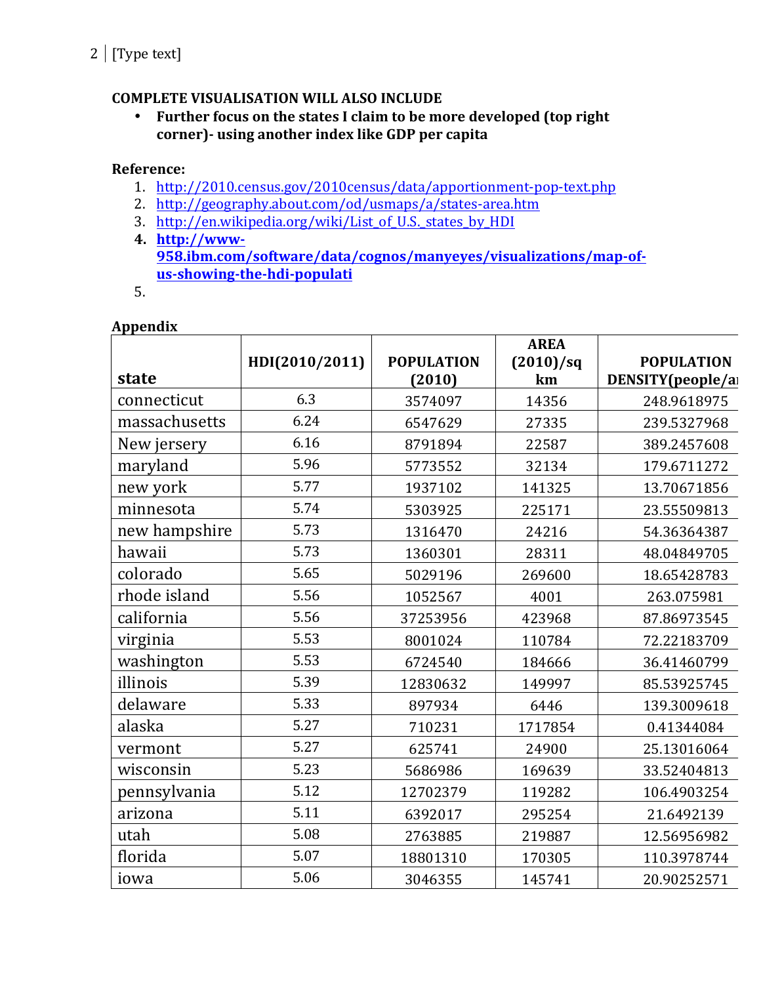# **COMPLETE VISUALISATION WILL ALSO INCLUDE**

• Further focus on the states I claim to be more developed (top right corner)- using another index like GDP per capita

# **Reference:**

- 1. http://2010.census.gov/2010census/data/apportionment-pop-text.php
- 2. http://geography.about.com/od/usmaps/a/states-area.htm
- 3. http://en.wikipedia.org/wiki/List\_of\_U.S.\_states\_by\_HDI
- **4. http://www-958.ibm.com/software/data/cognos/manyeyes/visualizations/map-ofus-showing-the-hdi-populati**
- 5.

### **Appendix**

|               |                |                   | <b>AREA</b> |                   |
|---------------|----------------|-------------------|-------------|-------------------|
|               | HDI(2010/2011) | <b>POPULATION</b> | (2010)/sq   | <b>POPULATION</b> |
| state         |                | (2010)            | km          | DENSITY(people/al |
| connecticut   | 6.3            | 3574097           | 14356       | 248.9618975       |
| massachusetts | 6.24           | 6547629           | 27335       | 239.5327968       |
| New jersery   | 6.16           | 8791894           | 22587       | 389.2457608       |
| maryland      | 5.96           | 5773552           | 32134       | 179.6711272       |
| new york      | 5.77           | 1937102           | 141325      | 13.70671856       |
| minnesota     | 5.74           | 5303925           | 225171      | 23.55509813       |
| new hampshire | 5.73           | 1316470           | 24216       | 54.36364387       |
| hawaii        | 5.73           | 1360301           | 28311       | 48.04849705       |
| colorado      | 5.65           | 5029196           | 269600      | 18.65428783       |
| rhode island  | 5.56           | 1052567           | 4001        | 263.075981        |
| california    | 5.56           | 37253956          | 423968      | 87.86973545       |
| virginia      | 5.53           | 8001024           | 110784      | 72.22183709       |
| washington    | 5.53           | 6724540           | 184666      | 36.41460799       |
| illinois      | 5.39           | 12830632          | 149997      | 85.53925745       |
| delaware      | 5.33           | 897934            | 6446        | 139.3009618       |
| alaska        | 5.27           | 710231            | 1717854     | 0.41344084        |
| vermont       | 5.27           | 625741            | 24900       | 25.13016064       |
| wisconsin     | 5.23           | 5686986           | 169639      | 33.52404813       |
| pennsylvania  | 5.12           | 12702379          | 119282      | 106.4903254       |
| arizona       | 5.11           | 6392017           | 295254      | 21.6492139        |
| utah          | 5.08           | 2763885           | 219887      | 12.56956982       |
| florida       | 5.07           | 18801310          | 170305      | 110.3978744       |
| iowa          | 5.06           | 3046355           | 145741      | 20.90252571       |